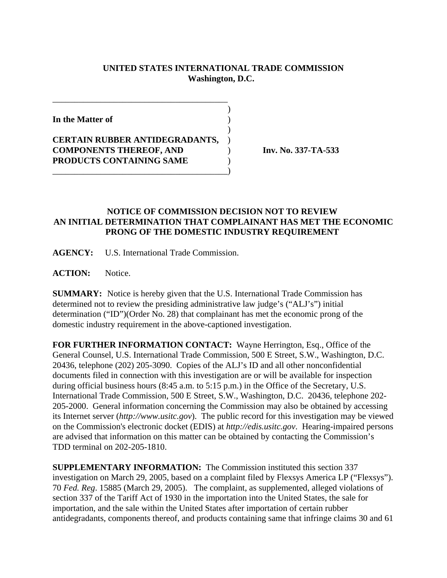## **UNITED STATES INTERNATIONAL TRADE COMMISSION Washington, D.C.**

 $\overline{\phantom{a}}$ 

 $\overline{\phantom{a}}$ 

**In the Matter of** )

**CERTAIN RUBBER ANTIDEGRADANTS,** ) **COMPONENTS THEREOF, AND** ) **Inv. No. 337-TA-533 PRODUCTS CONTAINING SAME** )

\_\_\_\_\_\_\_\_\_\_\_\_\_\_\_\_\_\_\_\_\_\_\_\_\_\_\_\_\_\_\_\_\_\_\_\_\_\_\_\_)

\_\_\_\_\_\_\_\_\_\_\_\_\_\_\_\_\_\_\_\_\_\_\_\_\_\_\_\_\_\_\_\_\_\_\_\_\_\_\_\_

## **NOTICE OF COMMISSION DECISION NOT TO REVIEW AN INITIAL DETERMINATION THAT COMPLAINANT HAS MET THE ECONOMIC PRONG OF THE DOMESTIC INDUSTRY REQUIREMENT**

**AGENCY:** U.S. International Trade Commission.

**ACTION:** Notice.

**SUMMARY:** Notice is hereby given that the U.S. International Trade Commission has determined not to review the presiding administrative law judge's ("ALJ's") initial determination ("ID")(Order No. 28) that complainant has met the economic prong of the domestic industry requirement in the above-captioned investigation.

**FOR FURTHER INFORMATION CONTACT:** Wayne Herrington, Esq., Office of the General Counsel, U.S. International Trade Commission, 500 E Street, S.W., Washington, D.C. 20436, telephone (202) 205-3090. Copies of the ALJ's ID and all other nonconfidential documents filed in connection with this investigation are or will be available for inspection during official business hours (8:45 a.m. to 5:15 p.m.) in the Office of the Secretary, U.S. International Trade Commission, 500 E Street, S.W., Washington, D.C. 20436, telephone 202- 205-2000. General information concerning the Commission may also be obtained by accessing its Internet server (*http://www.usitc.gov*). The public record for this investigation may be viewed on the Commission's electronic docket (EDIS) at *http://edis.usitc.gov*. Hearing-impaired persons are advised that information on this matter can be obtained by contacting the Commission's TDD terminal on 202-205-1810.

**SUPPLEMENTARY INFORMATION:** The Commission instituted this section 337 investigation on March 29, 2005, based on a complaint filed by Flexsys America LP ("Flexsys"). 70 *Fed. Reg*. 15885 (March 29, 2005). The complaint, as supplemented, alleged violations of section 337 of the Tariff Act of 1930 in the importation into the United States, the sale for importation, and the sale within the United States after importation of certain rubber antidegradants, components thereof, and products containing same that infringe claims 30 and 61